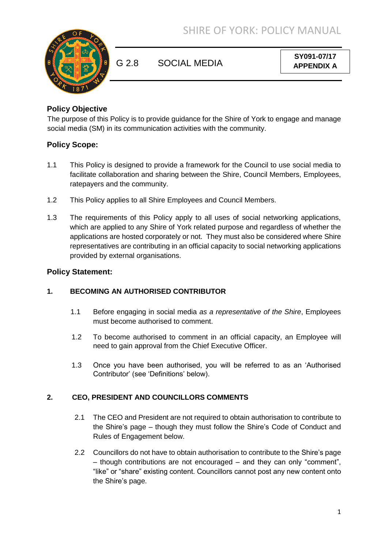

G 2.8 SOCIAL MEDIA

**SY091-07/17 APPENDIX A**

## **Policy Objective**

The purpose of this Policy is to provide guidance for the Shire of York to engage and manage social media (SM) in its communication activities with the community.

# **Policy Scope:**

- 1.1 This Policy is designed to provide a framework for the Council to use social media to facilitate collaboration and sharing between the Shire, Council Members, Employees, ratepayers and the community.
- 1.2 This Policy applies to all Shire Employees and Council Members.
- 1.3 The requirements of this Policy apply to all uses of social networking applications, which are applied to any Shire of York related purpose and regardless of whether the applications are hosted corporately or not. They must also be considered where Shire representatives are contributing in an official capacity to social networking applications provided by external organisations.

### **Policy Statement:**

### **1. BECOMING AN AUTHORISED CONTRIBUTOR**

- 1.1 Before engaging in social media *as a representative of the Shire*, Employees must become authorised to comment.
- 1.2 To become authorised to comment in an official capacity, an Employee will need to gain approval from the Chief Executive Officer.
- 1.3 Once you have been authorised, you will be referred to as an 'Authorised Contributor' (see 'Definitions' below).

### **2. CEO, PRESIDENT AND COUNCILLORS COMMENTS**

- 2.1 The CEO and President are not required to obtain authorisation to contribute to the Shire's page – though they must follow the Shire's Code of Conduct and Rules of Engagement below.
- 2.2 Councillors do not have to obtain authorisation to contribute to the Shire's page – though contributions are not encouraged – and they can only "comment", "like" or "share" existing content. Councillors cannot post any new content onto the Shire's page.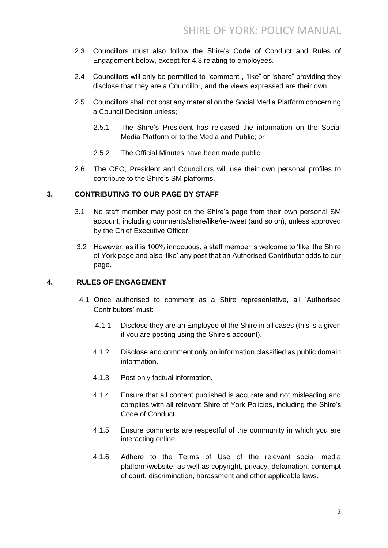- 2.3 Councillors must also follow the Shire's Code of Conduct and Rules of Engagement below, except for 4.3 relating to employees.
- 2.4 Councillors will only be permitted to "comment", "like" or "share" providing they disclose that they are a Councillor, and the views expressed are their own.
- 2.5 Councillors shall not post any material on the Social Media Platform concerning a Council Decision unless;
	- 2.5.1 The Shire's President has released the information on the Social Media Platform or to the Media and Public; or
	- 2.5.2 The Official Minutes have been made public.
- 2.6 The CEO, President and Councillors will use their own personal profiles to contribute to the Shire's SM platforms.

### **3. CONTRIBUTING TO OUR PAGE BY STAFF**

- 3.1 No staff member may post on the Shire's page from their own personal SM account, including comments/share/like/re-tweet (and so on), unless approved by the Chief Executive Officer.
- 3.2 However, as it is 100% innocuous, a staff member is welcome to 'like' the Shire of York page and also 'like' any post that an Authorised Contributor adds to our page.

#### **4. RULES OF ENGAGEMENT**

- 4.1 Once authorised to comment as a Shire representative, all 'Authorised Contributors' must:
	- 4.1.1 Disclose they are an Employee of the Shire in all cases (this is a given if you are posting using the Shire's account).
	- 4.1.2 Disclose and comment only on information classified as public domain information.
	- 4.1.3 Post only factual information.
	- 4.1.4 Ensure that all content published is accurate and not misleading and complies with all relevant Shire of York Policies, including the Shire's Code of Conduct.
	- 4.1.5 Ensure comments are respectful of the community in which you are interacting online.
	- 4.1.6 Adhere to the Terms of Use of the relevant social media platform/website, as well as copyright, privacy, defamation, contempt of court, discrimination, harassment and other applicable laws.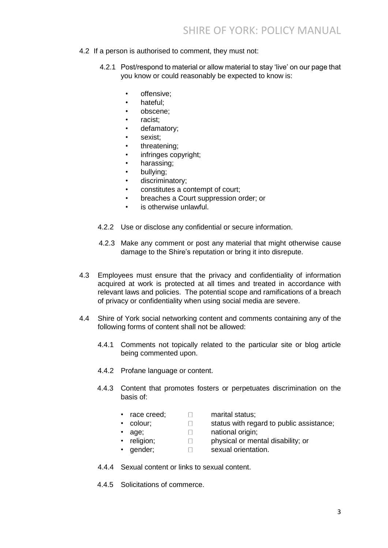- 4.2 If a person is authorised to comment, they must not:
	- 4.2.1 Post/respond to material or allow material to stay 'live' on our page that you know or could reasonably be expected to know is:
		- offensive;
		- hateful:
		- obscene;
		- racist;
		- defamatory;
		- sexist:
		- threatening;
		- infringes copyright;
		- harassing;
		- bullying;
		- discriminatory;
		- constitutes a contempt of court;
		- breaches a Court suppression order; or
		- is otherwise unlawful.
	- 4.2.2 Use or disclose any confidential or secure information.
	- 4.2.3 Make any comment or post any material that might otherwise cause damage to the Shire's reputation or bring it into disrepute.
- 4.3 Employees must ensure that the privacy and confidentiality of information acquired at work is protected at all times and treated in accordance with relevant laws and policies. The potential scope and ramifications of a breach of privacy or confidentiality when using social media are severe.
- 4.4 Shire of York social networking content and comments containing any of the following forms of content shall not be allowed:
	- 4.4.1 Comments not topically related to the particular site or blog article being commented upon.
	- 4.4.2 Profane language or content.
	- 4.4.3 Content that promotes fosters or perpetuates discrimination on the basis of:
		- race creed;  $\Box$  marital status;
		- colour;  $\Box$  status with regard to public assistance;
		- age; and the mational origin;
- -
	-
	- religion;  $\Box$  physical or mental disability; or
	- gender:  $\Box$  sexual orientation.
		-
	- 4.4.4 Sexual content or links to sexual content.
	- 4.4.5 Solicitations of commerce.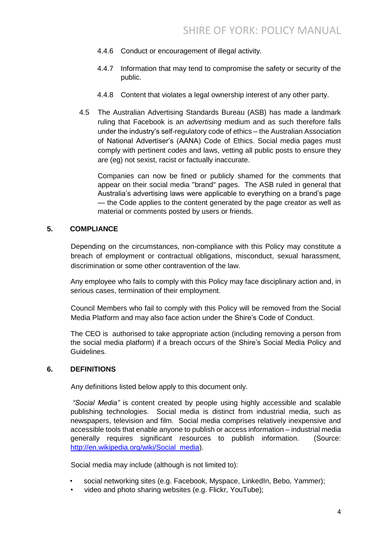- 4.4.6 Conduct or encouragement of illegal activity.
- 4.4.7 Information that may tend to compromise the safety or security of the public.
- 4.4.8 Content that violates a legal ownership interest of any other party.
- 4.5 The Australian Advertising Standards Bureau (ASB) has made a landmark ruling that Facebook is an *advertising* medium and as such therefore falls under the industry's self-regulatory code of ethics – the Australian Association of National Advertiser's (AANA) Code of Ethics. Social media pages must comply with pertinent codes and laws, vetting all public posts to ensure they are (eg) not sexist, racist or factually inaccurate.

Companies can now be fined or publicly shamed for the comments that appear on their social media ''brand'' pages. The ASB ruled in general that Australia's advertising laws were applicable to everything on a brand's page — the Code applies to the content generated by the page creator as well as material or comments posted by users or friends.

#### **5. COMPLIANCE**

Depending on the circumstances, non-compliance with this Policy may constitute a breach of employment or contractual obligations, misconduct, sexual harassment, discrimination or some other contravention of the law.

Any employee who fails to comply with this Policy may face disciplinary action and, in serious cases, termination of their employment.

Council Members who fail to comply with this Policy will be removed from the Social Media Platform and may also face action under the Shire's Code of Conduct.

The CEO is authorised to take appropriate action (including removing a person from the social media platform) if a breach occurs of the Shire's Social Media Policy and Guidelines.

#### **6. DEFINITIONS**

Any definitions listed below apply to this document only.

*"Social Media"* is content created by people using highly accessible and scalable publishing technologies. Social media is distinct from industrial media, such as newspapers, television and film. Social media comprises relatively inexpensive and accessible tools that enable anyone to publish or access information – industrial media generally requires significant resources to publish information. (Source: http://en.wikipedia.org/wiki/Social\_media).

Social media may include (although is not limited to):

- social networking sites (e.g. Facebook, Myspace, LinkedIn, Bebo, Yammer);
- video and photo sharing websites (e.g. Flickr, YouTube);